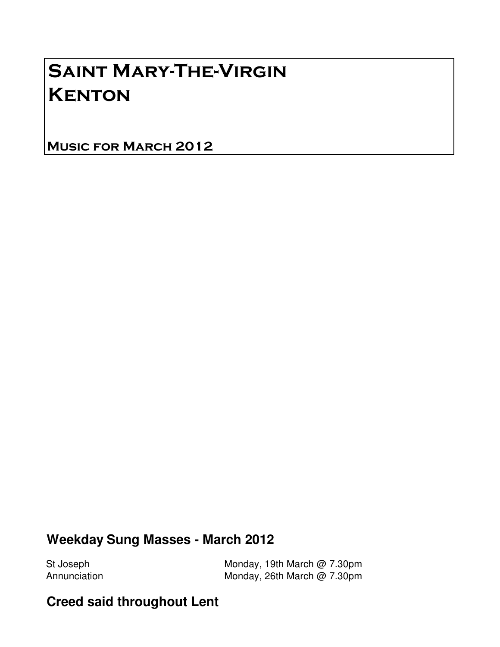# Saint Mary-The-Virgin **KENTON**

Music for March 2012

### **Weekday Sung Masses - March 2012**

St Joseph Monday, 19th March @ 7.30pm Annunciation Monday, 26th March @ 7.30pm

#### **Creed said throughout Lent**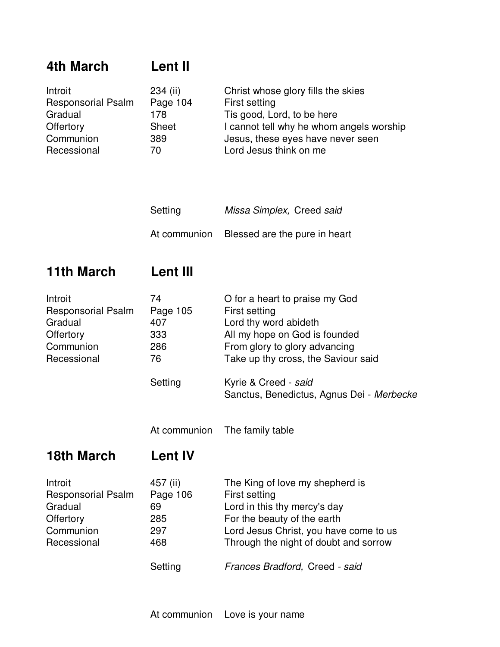# **4th March Lent II**

| Introit                   | $234$ (ii)   | Christ whose glory fills the skies       |
|---------------------------|--------------|------------------------------------------|
| <b>Responsorial Psalm</b> | Page 104     | First setting                            |
| Gradual                   | 178          | Tis good, Lord, to be here               |
| Offertory                 | <b>Sheet</b> | I cannot tell why he whom angels worship |
| Communion                 | 389          | Jesus, these eyes have never seen        |
| Recessional               | 70           | Lord Jesus think on me                   |

| Setting | Missa Simplex, Creed said                  |
|---------|--------------------------------------------|
|         | At communion Blessed are the pure in heart |

### **11th March Lent III**

| Introit                   | 74       | O for a heart to praise my God                                    |
|---------------------------|----------|-------------------------------------------------------------------|
| <b>Responsorial Psalm</b> | Page 105 | First setting                                                     |
| Gradual                   | 407      | Lord thy word abideth                                             |
| Offertory                 | 333      | All my hope on God is founded                                     |
| Communion                 | 286      | From glory to glory advancing                                     |
| Recessional               | 76       | Take up thy cross, the Saviour said                               |
|                           | Setting  | Kyrie & Creed - said<br>Sanctus, Benedictus, Agnus Dei - Merbecke |

At communion The family table

#### **18th March Lent IV**

| Introit                   | 457 (ii) | The King of love my shepherd is        |
|---------------------------|----------|----------------------------------------|
| <b>Responsorial Psalm</b> | Page 106 | First setting                          |
| Gradual                   | 69       | Lord in this thy mercy's day           |
| Offertory                 | 285      | For the beauty of the earth            |
| Communion                 | 297      | Lord Jesus Christ, you have come to us |
| Recessional               | 468      | Through the night of doubt and sorrow  |
|                           | Setting  | Frances Bradford, Creed - said         |